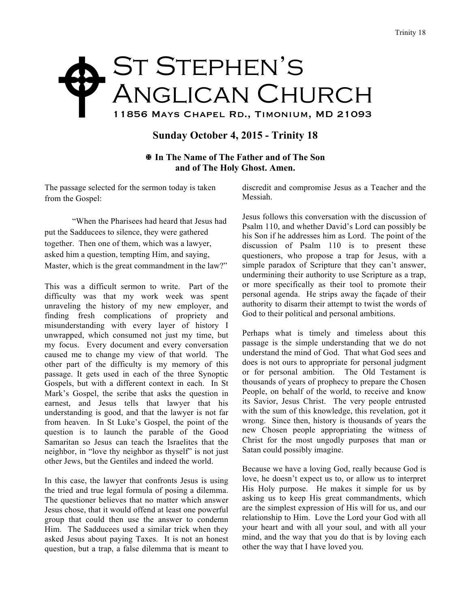## St Stephen's ANGLICAN CHURCH 11856 Mays Chapel Rd., Timonium, MD 21093 "

## **Sunday October 4, 2015 - Trinity 18**

! **In The Name of The Father and of The Son and of The Holy Ghost. Amen.** 

The passage selected for the sermon today is taken from the Gospel:

"When the Pharisees had heard that Jesus had put the Sadducees to silence, they were gathered together. Then one of them, which was a lawyer, asked him a question, tempting Him, and saying, Master, which is the great commandment in the law?"

This was a difficult sermon to write. Part of the difficulty was that my work week was spent unraveling the history of my new employer, and finding fresh complications of propriety and misunderstanding with every layer of history I unwrapped, which consumed not just my time, but my focus. Every document and every conversation caused me to change my view of that world. The other part of the difficulty is my memory of this passage. It gets used in each of the three Synoptic Gospels, but with a different context in each. In St Mark's Gospel, the scribe that asks the question in earnest, and Jesus tells that lawyer that his understanding is good, and that the lawyer is not far from heaven. In St Luke's Gospel, the point of the question is to launch the parable of the Good Samaritan so Jesus can teach the Israelites that the neighbor, in "love thy neighbor as thyself" is not just other Jews, but the Gentiles and indeed the world.

In this case, the lawyer that confronts Jesus is using the tried and true legal formula of posing a dilemma. The questioner believes that no matter which answer Jesus chose, that it would offend at least one powerful group that could then use the answer to condemn Him. The Sadducees used a similar trick when they asked Jesus about paying Taxes. It is not an honest question, but a trap, a false dilemma that is meant to

discredit and compromise Jesus as a Teacher and the Messiah.

Jesus follows this conversation with the discussion of Psalm 110, and whether David's Lord can possibly be his Son if he addresses him as Lord. The point of the discussion of Psalm 110 is to present these questioners, who propose a trap for Jesus, with a simple paradox of Scripture that they can't answer, undermining their authority to use Scripture as a trap, or more specifically as their tool to promote their personal agenda. He strips away the façade of their authority to disarm their attempt to twist the words of God to their political and personal ambitions.

Perhaps what is timely and timeless about this passage is the simple understanding that we do not understand the mind of God. That what God sees and does is not ours to appropriate for personal judgment or for personal ambition. The Old Testament is thousands of years of prophecy to prepare the Chosen People, on behalf of the world, to receive and know its Savior, Jesus Christ. The very people entrusted with the sum of this knowledge, this revelation, got it wrong. Since then, history is thousands of years the new Chosen people appropriating the witness of Christ for the most ungodly purposes that man or Satan could possibly imagine.

Because we have a loving God, really because God is love, he doesn't expect us to, or allow us to interpret His Holy purpose. He makes it simple for us by asking us to keep His great commandments, which are the simplest expression of His will for us, and our relationship to Him. Love the Lord your God with all your heart and with all your soul, and with all your mind, and the way that you do that is by loving each other the way that I have loved you.